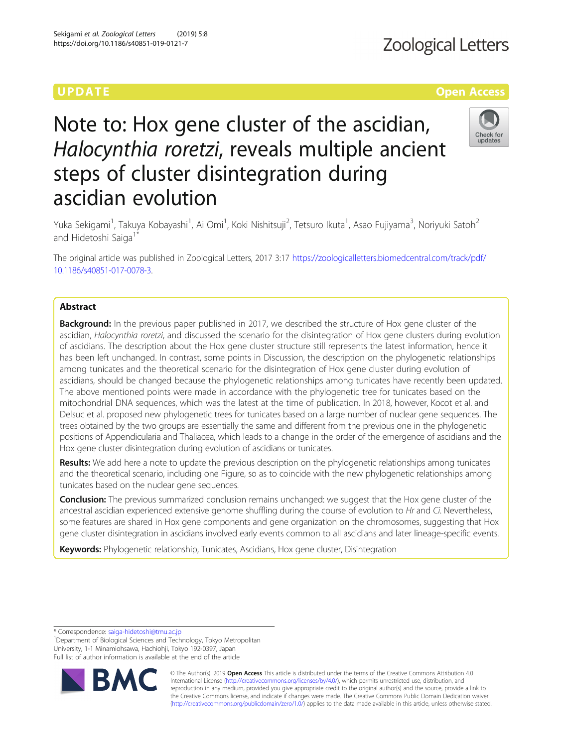# UPDA T E Open Access and the open Access and the open Access and the open Access and the open Access and the o

# Note to: Hox gene cluster of the ascidian, Halocynthia roretzi, reveals multiple ancient steps of cluster disintegration during ascidian evolution



Yuka Sekigami<sup>1</sup>, Takuya Kobayashi<sup>1</sup>, Ai Omi<sup>1</sup>, Koki Nishitsuji<sup>2</sup>, Tetsuro Ikuta<sup>1</sup>, Asao Fujiyama<sup>3</sup>, Noriyuki Satoh<sup>2</sup> and Hidetoshi Saiga<sup>1</sup>

The original article was published in Zoological Letters, 2017 3:17 [https://zoologicalletters.biomedcentral.com/track/pdf/](https://zoologicalletters.biomedcentral.com/track/pdf/10.1186/s40851-017-0078-3) [10.1186/s40851-017-0078-3.](https://zoologicalletters.biomedcentral.com/track/pdf/10.1186/s40851-017-0078-3)

# Abstract

Background: In the previous paper published in 2017, we described the structure of Hox gene cluster of the ascidian, Halocynthia roretzi, and discussed the scenario for the disintegration of Hox gene clusters during evolution of ascidians. The description about the Hox gene cluster structure still represents the latest information, hence it has been left unchanged. In contrast, some points in Discussion, the description on the phylogenetic relationships among tunicates and the theoretical scenario for the disintegration of Hox gene cluster during evolution of ascidians, should be changed because the phylogenetic relationships among tunicates have recently been updated. The above mentioned points were made in accordance with the phylogenetic tree for tunicates based on the mitochondrial DNA sequences, which was the latest at the time of publication. In 2018, however, Kocot et al. and Delsuc et al. proposed new phylogenetic trees for tunicates based on a large number of nuclear gene sequences. The trees obtained by the two groups are essentially the same and different from the previous one in the phylogenetic positions of Appendicularia and Thaliacea, which leads to a change in the order of the emergence of ascidians and the Hox gene cluster disintegration during evolution of ascidians or tunicates.

Results: We add here a note to update the previous description on the phylogenetic relationships among tunicates and the theoretical scenario, including one Figure, so as to coincide with the new phylogenetic relationships among tunicates based on the nuclear gene sequences.

**Conclusion:** The previous summarized conclusion remains unchanged: we suggest that the Hox gene cluster of the ancestral ascidian experienced extensive genome shuffling during the course of evolution to Hr and Ci. Nevertheless, some features are shared in Hox gene components and gene organization on the chromosomes, suggesting that Hox gene cluster disintegration in ascidians involved early events common to all ascidians and later lineage-specific events.

Keywords: Phylogenetic relationship, Tunicates, Ascidians, Hox gene cluster, Disintegration

\* Correspondence: [saiga-hidetoshi@tmu.ac.jp](mailto:saiga-hidetoshi@tmu.ac.jp) <sup>1</sup>

<sup>1</sup>Department of Biological Sciences and Technology, Tokyo Metropolitan University, 1-1 Minamiohsawa, Hachiohji, Tokyo 192-0397, Japan Full list of author information is available at the end of the article



© The Author(s). 2019 **Open Access** This article is distributed under the terms of the Creative Commons Attribution 4.0 International License [\(http://creativecommons.org/licenses/by/4.0/](http://creativecommons.org/licenses/by/4.0/)), which permits unrestricted use, distribution, and reproduction in any medium, provided you give appropriate credit to the original author(s) and the source, provide a link to the Creative Commons license, and indicate if changes were made. The Creative Commons Public Domain Dedication waiver [\(http://creativecommons.org/publicdomain/zero/1.0/](http://creativecommons.org/publicdomain/zero/1.0/)) applies to the data made available in this article, unless otherwise stated.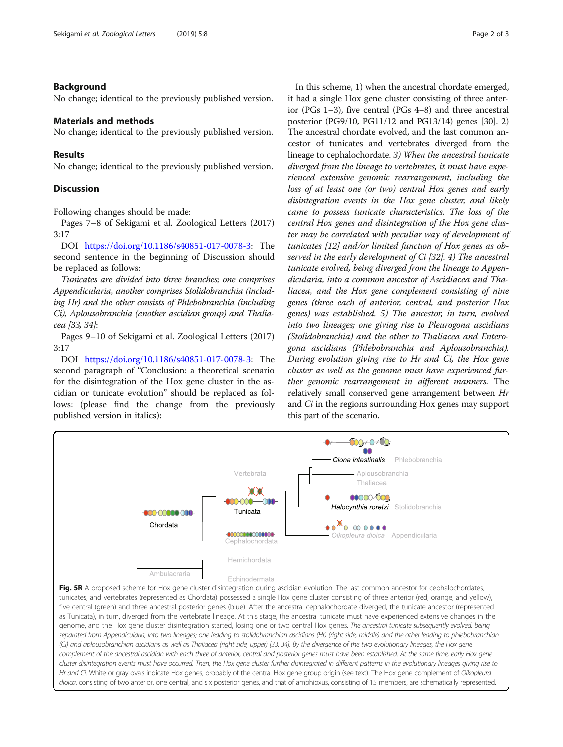### Background

No change; identical to the previously published version.

# Materials and methods

No change; identical to the previously published version.

#### Results

No change; identical to the previously published version.

# **Discussion**

Following changes should be made:

Pages 7–8 of Sekigami et al. Zoological Letters (2017) 3:17

DOI <https://doi.org/10.1186/s40851-017-0078-3>: The second sentence in the beginning of Discussion should be replaced as follows:

Tunicates are divided into three branches; one comprises Appendicularia, another comprises Stolidobranchia (including Hr) and the other consists of Phlebobranchia (including Ci), Aplousobranchia (another ascidian group) and Thaliacea [33, 34]:

Pages 9–10 of Sekigami et al. Zoological Letters (2017) 3:17

DOI <https://doi.org/10.1186/s40851-017-0078-3>: The second paragraph of "Conclusion: a theoretical scenario for the disintegration of the Hox gene cluster in the ascidian or tunicate evolution" should be replaced as follows: (please find the change from the previously published version in italics):

In this scheme, 1) when the ancestral chordate emerged, it had a single Hox gene cluster consisting of three anterior (PGs 1–3), five central (PGs 4–8) and three ancestral posterior (PG9/10, PG11/12 and PG13/14) genes [30]. 2) The ancestral chordate evolved, and the last common ancestor of tunicates and vertebrates diverged from the lineage to cephalochordate. 3) When the ancestral tunicate diverged from the lineage to vertebrates, it must have experienced extensive genomic rearrangement, including the loss of at least one (or two) central Hox genes and early disintegration events in the Hox gene cluster, and likely came to possess tunicate characteristics. The loss of the central Hox genes and disintegration of the Hox gene cluster may be correlated with peculiar way of development of tunicates [12] and/or limited function of Hox genes as observed in the early development of Ci [32]. 4) The ancestral tunicate evolved, being diverged from the lineage to Appendicularia, into a common ancestor of Ascidiacea and Thaliacea, and the Hox gene complement consisting of nine genes (three each of anterior, central, and posterior Hox genes) was established. 5) The ancestor, in turn, evolved into two lineages; one giving rise to Pleurogona ascidians (Stolidobranchia) and the other to Thaliacea and Enterogona ascidians (Phlebobranchia and Aplousobranchia). During evolution giving rise to Hr and Ci, the Hox gene cluster as well as the genome must have experienced further genomic rearrangement in different manners. The relatively small conserved gene arrangement between Hr and *Ci* in the regions surrounding Hox genes may support this part of the scenario.



(Ci) and aplousobranchian ascidians as well as Thaliacea (right side, upper) [33, 34]. By the divergence of the two evolutionary lineages, the Hox gene complement of the ancestral ascidian with each three of anterior, central and posterior genes must have been established. At the same time, early Hox gene cluster disintegration events must have occurred. Then, the Hox gene cluster further disintegrated in different patterns in the evolutionary lineages giving rise to Hr and Ci. White or gray ovals indicate Hox genes, probably of the central Hox gene group origin (see text). The Hox gene complement of Oikopleura dioica, consisting of two anterior, one central, and six posterior genes, and that of amphioxus, consisting of 15 members, are schematically represented.